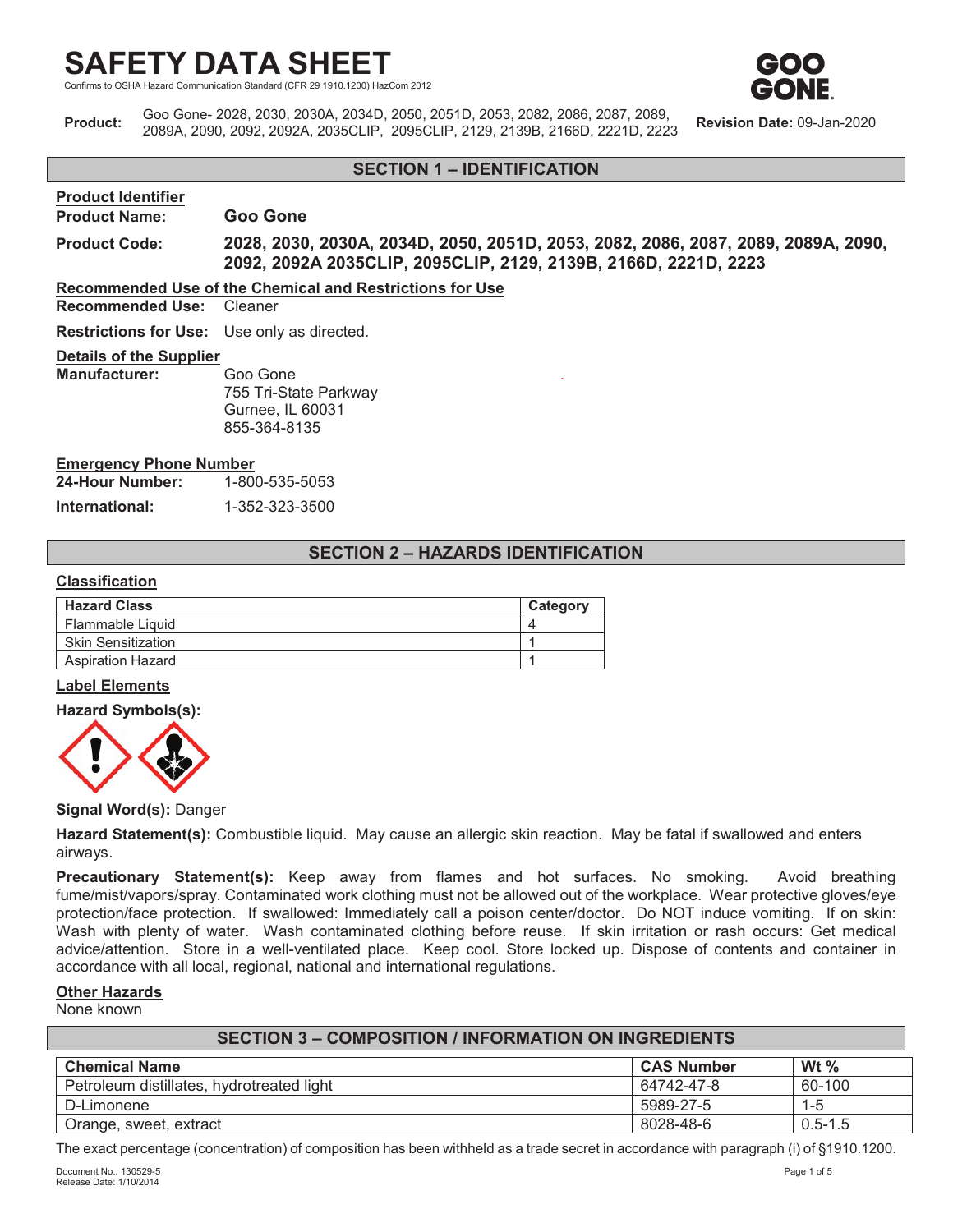d Communication Standard (CFR 29 1910.1200) HazCom 2012



**Product:** Goo Gone- 2028, 2030, 2030A, 2034D, 2050, 2051D, 2053, 2082, 2086, 2087, 2089, 2089A, 2090, 2092, 2092A, 2035CLIP, 2095CLIP, 2129, 2139B, 2166D, 2221D, 2223 **Revision Date:** 09-Jan-2020

## **SECTION 1 – IDENTIFICATION**

#### **Product Identifier**

## **Product Name: Goo Gone**

**Product Code: 2028, 2030, 2030A, 2034D, 2050, 2051D, 2053, 2082, 2086, 2087, 2089, 2089A, 2090, 2092, 2092A 2035CLIP, 2095CLIP, 2129, 2139B, 2166D, 2221D, 2223**

.

**Recommended Use of the Chemical and Restrictions for Use**

**Recommended Use:** Cleaner

**Restrictions for Use:** Use only as directed.

#### **Details of the Supplier**

| <b>Manufacturer:</b> | Goo Gone              |
|----------------------|-----------------------|
|                      | 755 Tri-State Parkway |
|                      | Gurnee, IL 60031      |
|                      | 855-364-8135          |

#### **Emergency Phone Number**

| 24-Hour Number: | 1-800-535-5053 |
|-----------------|----------------|
| International:  | 1-352-323-3500 |

## **SECTION 2 – HAZARDS IDENTIFICATION**

#### **Classification**

| <b>Hazard Class</b>       | Category |
|---------------------------|----------|
| Flammable Liquid          |          |
| <b>Skin Sensitization</b> |          |
| <b>Aspiration Hazard</b>  |          |

#### **Label Elements**

#### **Hazard Symbols(s):**



#### **Signal Word(s):** Danger

**Hazard Statement(s):** Combustible liquid. May cause an allergic skin reaction. May be fatal if swallowed and enters airways.

**Precautionary Statement(s):** Keep away from flames and hot surfaces. No smoking. Avoid breathing fume/mist/vapors/spray. Contaminated work clothing must not be allowed out of the workplace. Wear protective gloves/eye protection/face protection. If swallowed: Immediately call a poison center/doctor. Do NOT induce vomiting. If on skin: Wash with plenty of water. Wash contaminated clothing before reuse. If skin irritation or rash occurs: Get medical advice/attention. Store in a well-ventilated place. Keep cool. Store locked up. Dispose of contents and container in accordance with all local, regional, national and international regulations.

## **Other Hazards**

None known

| <b>SECTION 3 - COMPOSITION / INFORMATION ON INGREDIENTS</b> |            |             |  |  |
|-------------------------------------------------------------|------------|-------------|--|--|
| Wt $\%$<br><b>Chemical Name</b><br><b>CAS Number</b>        |            |             |  |  |
| Petroleum distillates, hydrotreated light                   | 64742-47-8 | 60-100      |  |  |
| D-Limonene                                                  | 5989-27-5  | $1 - 5$     |  |  |
| Orange, sweet, extract                                      | 8028-48-6  | $0.5 - 1.5$ |  |  |

The exact percentage (concentration) of composition has been withheld as a trade secret in accordance with paragraph (i) of §1910.1200.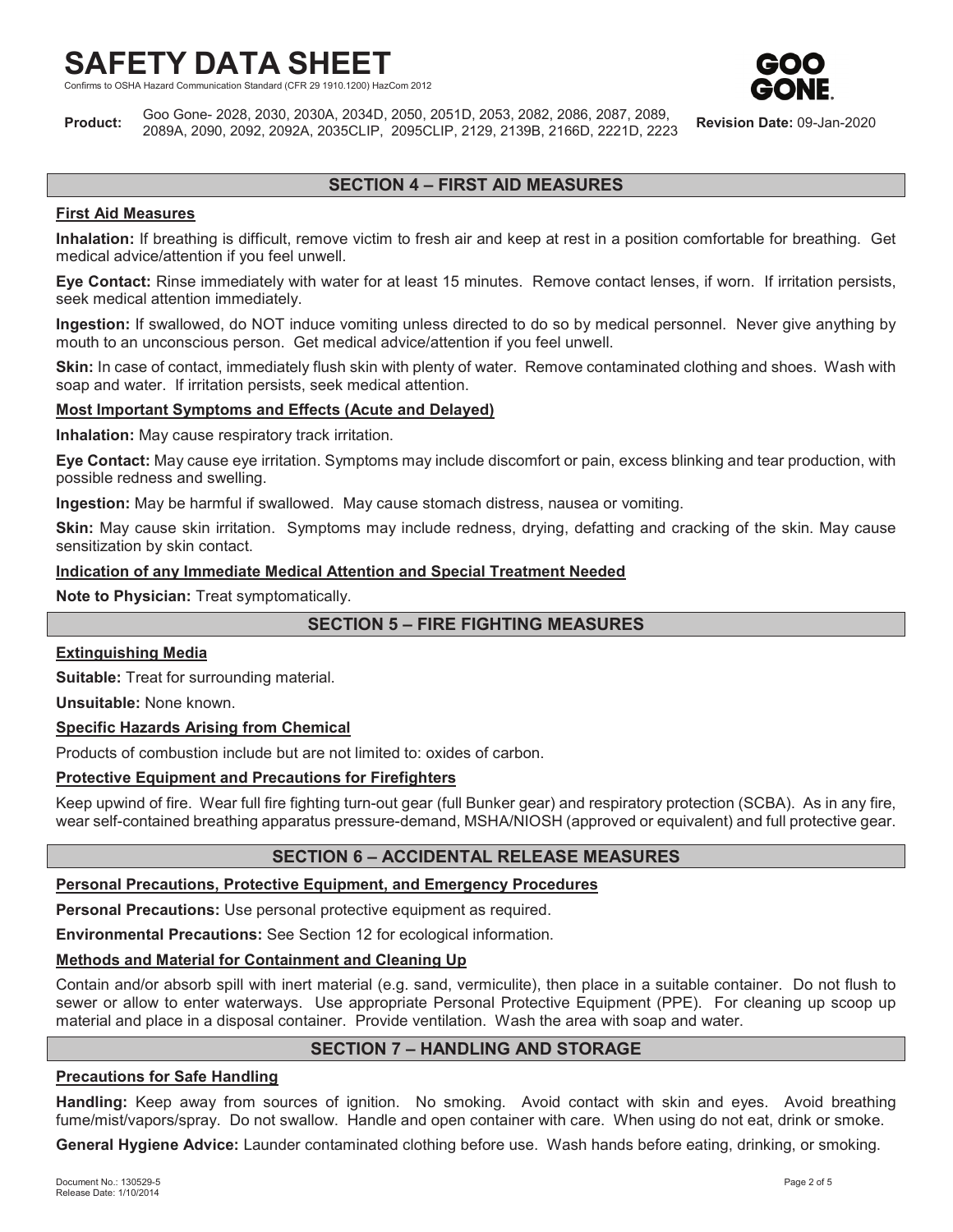Communication Standard (CFR 29 1910.1200) HazCom 2012



**Product:** Goo Gone- 2028, 2030, 2030A, 2034D, 2050, 2051D, 2053, 2082, 2086, 2087, 2089, 2089A, 2090, 2092, 2092A, 2035CLIP, 2095CLIP, 2129, 2139B, 2166D, 2221D, 2223 **Revision Date:** 09-Jan-2020

## **SECTION 4 – FIRST AID MEASURES**

## **First Aid Measures**

**Inhalation:** If breathing is difficult, remove victim to fresh air and keep at rest in a position comfortable for breathing. Get medical advice/attention if you feel unwell.

**Eye Contact:** Rinse immediately with water for at least 15 minutes. Remove contact lenses, if worn. If irritation persists, seek medical attention immediately.

**Ingestion:** If swallowed, do NOT induce vomiting unless directed to do so by medical personnel. Never give anything by mouth to an unconscious person. Get medical advice/attention if you feel unwell.

**Skin:** In case of contact, immediately flush skin with plenty of water. Remove contaminated clothing and shoes. Wash with soap and water. If irritation persists, seek medical attention.

#### **Most Important Symptoms and Effects (Acute and Delayed)**

**Inhalation:** May cause respiratory track irritation.

**Eye Contact:** May cause eye irritation. Symptoms may include discomfort or pain, excess blinking and tear production, with possible redness and swelling.

**Ingestion:** May be harmful if swallowed. May cause stomach distress, nausea or vomiting.

**Skin:** May cause skin irritation. Symptoms may include redness, drying, defatting and cracking of the skin. May cause sensitization by skin contact.

#### **Indication of any Immediate Medical Attention and Special Treatment Needed**

**Note to Physician:** Treat symptomatically.

## **SECTION 5 – FIRE FIGHTING MEASURES**

#### **Extinguishing Media**

**Suitable:** Treat for surrounding material.

**Unsuitable:** None known.

#### **Specific Hazards Arising from Chemical**

Products of combustion include but are not limited to: oxides of carbon.

## **Protective Equipment and Precautions for Firefighters**

Keep upwind of fire. Wear full fire fighting turn-out gear (full Bunker gear) and respiratory protection (SCBA). As in any fire, wear self-contained breathing apparatus pressure-demand, MSHA/NIOSH (approved or equivalent) and full protective gear.

## **SECTION 6 – ACCIDENTAL RELEASE MEASURES**

#### **Personal Precautions, Protective Equipment, and Emergency Procedures**

**Personal Precautions:** Use personal protective equipment as required.

**Environmental Precautions:** See Section 12 for ecological information.

## **Methods and Material for Containment and Cleaning Up**

Contain and/or absorb spill with inert material (e.g. sand, vermiculite), then place in a suitable container. Do not flush to sewer or allow to enter waterways. Use appropriate Personal Protective Equipment (PPE). For cleaning up scoop up material and place in a disposal container. Provide ventilation. Wash the area with soap and water.

## **SECTION 7 – HANDLING AND STORAGE**

## **Precautions for Safe Handling**

**Handling:** Keep away from sources of ignition. No smoking. Avoid contact with skin and eyes. Avoid breathing fume/mist/vapors/spray. Do not swallow. Handle and open container with care. When using do not eat, drink or smoke.

**General Hygiene Advice:** Launder contaminated clothing before use. Wash hands before eating, drinking, or smoking.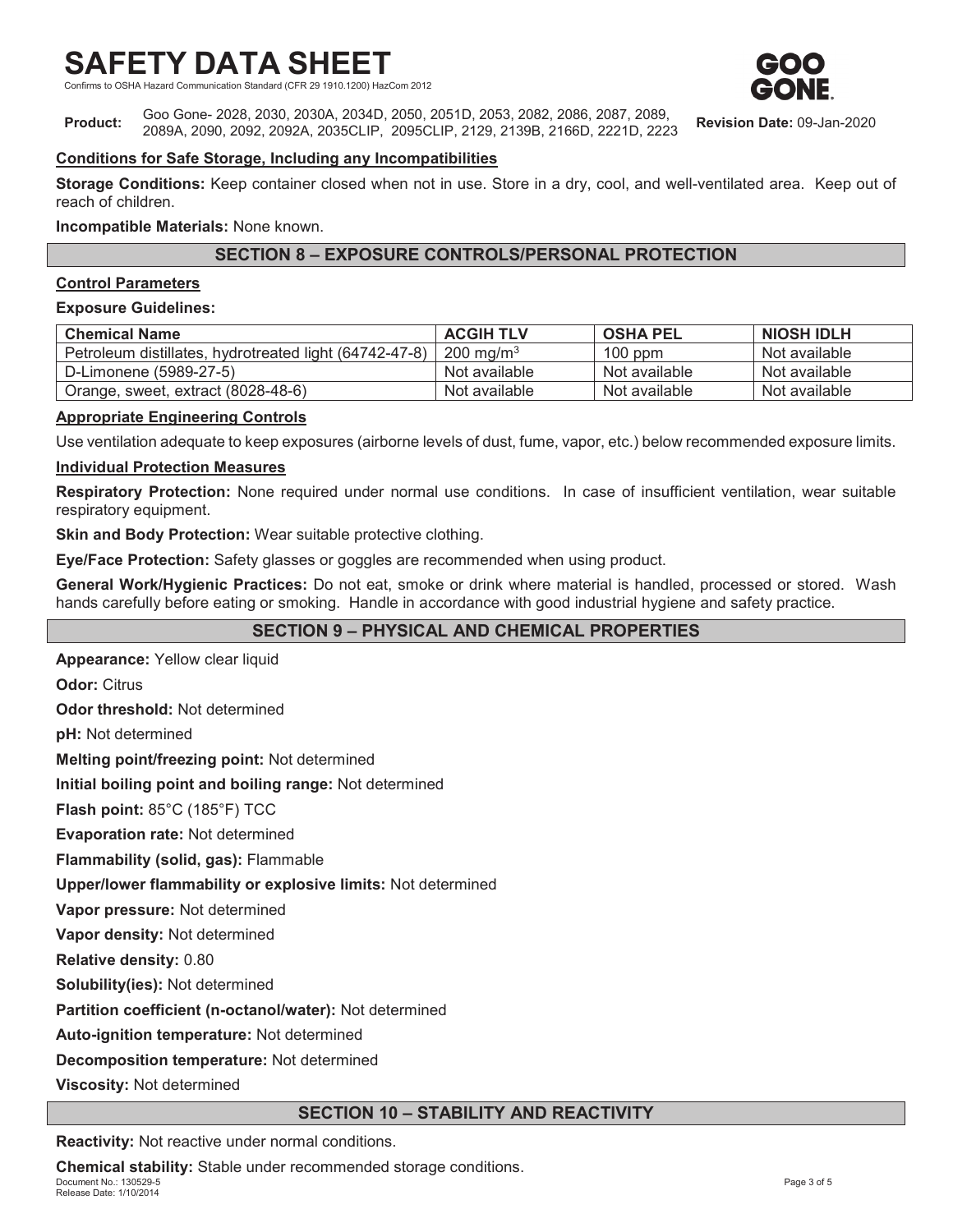ion Standard (CFR 29 1910.1200) HazCom 2012



**Product:** Goo Gone- 2028, 2030, 2030A, 2034D, 2050, 2051D, 2053, 2082, 2086, 2087, 2089, 2089A, 2090, 2092, 2092A, 2035CLIP, 2095CLIP, 2129, 2139B, 2166D, 2221D, 2223 **Revision Date:** 09-Jan-2020

## **Conditions for Safe Storage, Including any Incompatibilities**

**Storage Conditions:** Keep container closed when not in use. Store in a dry, cool, and well-ventilated area. Keep out of reach of children.

**Incompatible Materials:** None known.

## **SECTION 8 – EXPOSURE CONTROLS/PERSONAL PROTECTION**

#### **Control Parameters**

#### **Exposure Guidelines:**

| <b>Chemical Name</b>                                   | <b>ACGIH TLV</b>     | <b>OSHA PEL</b> | <b>NIOSH IDLH</b> |
|--------------------------------------------------------|----------------------|-----------------|-------------------|
| Petroleum distillates, hydrotreated light (64742-47-8) | $200 \text{ ma/m}^3$ | $100$ ppm       | Not available     |
| D-Limonene (5989-27-5)                                 | Not available        | Not available   | Not available     |
| Orange, sweet, extract (8028-48-6)                     | Not available        | Not available   | Not available     |

## **Appropriate Engineering Controls**

Use ventilation adequate to keep exposures (airborne levels of dust, fume, vapor, etc.) below recommended exposure limits.

## **Individual Protection Measures**

**Respiratory Protection:** None required under normal use conditions. In case of insufficient ventilation, wear suitable respiratory equipment.

**Skin and Body Protection:** Wear suitable protective clothing.

**Eye/Face Protection:** Safety glasses or goggles are recommended when using product.

**General Work/Hygienic Practices:** Do not eat, smoke or drink where material is handled, processed or stored. Wash hands carefully before eating or smoking. Handle in accordance with good industrial hygiene and safety practice.

## **SECTION 9 – PHYSICAL AND CHEMICAL PROPERTIES**

**Appearance:** Yellow clear liquid

**Odor:** Citrus

**Odor threshold:** Not determined

**pH:** Not determined

**Melting point/freezing point:** Not determined

**Initial boiling point and boiling range:** Not determined

**Flash point:** 85°C (185°F) TCC

**Evaporation rate:** Not determined

**Flammability (solid, gas):** Flammable

**Upper/lower flammability or explosive limits:** Not determined

**Vapor pressure:** Not determined

**Vapor density:** Not determined

**Relative density:** 0.80

**Solubility(ies):** Not determined

**Partition coefficient (n-octanol/water):** Not determined

**Auto-ignition temperature:** Not determined

**Decomposition temperature:** Not determined

**Viscosity:** Not determined

## **SECTION 10 – STABILITY AND REACTIVITY**

**Reactivity:** Not reactive under normal conditions.

Document No.: 130529-5 Page 3 of 5 Release Date: 1/10/2014 **Chemical stability:** Stable under recommended storage conditions.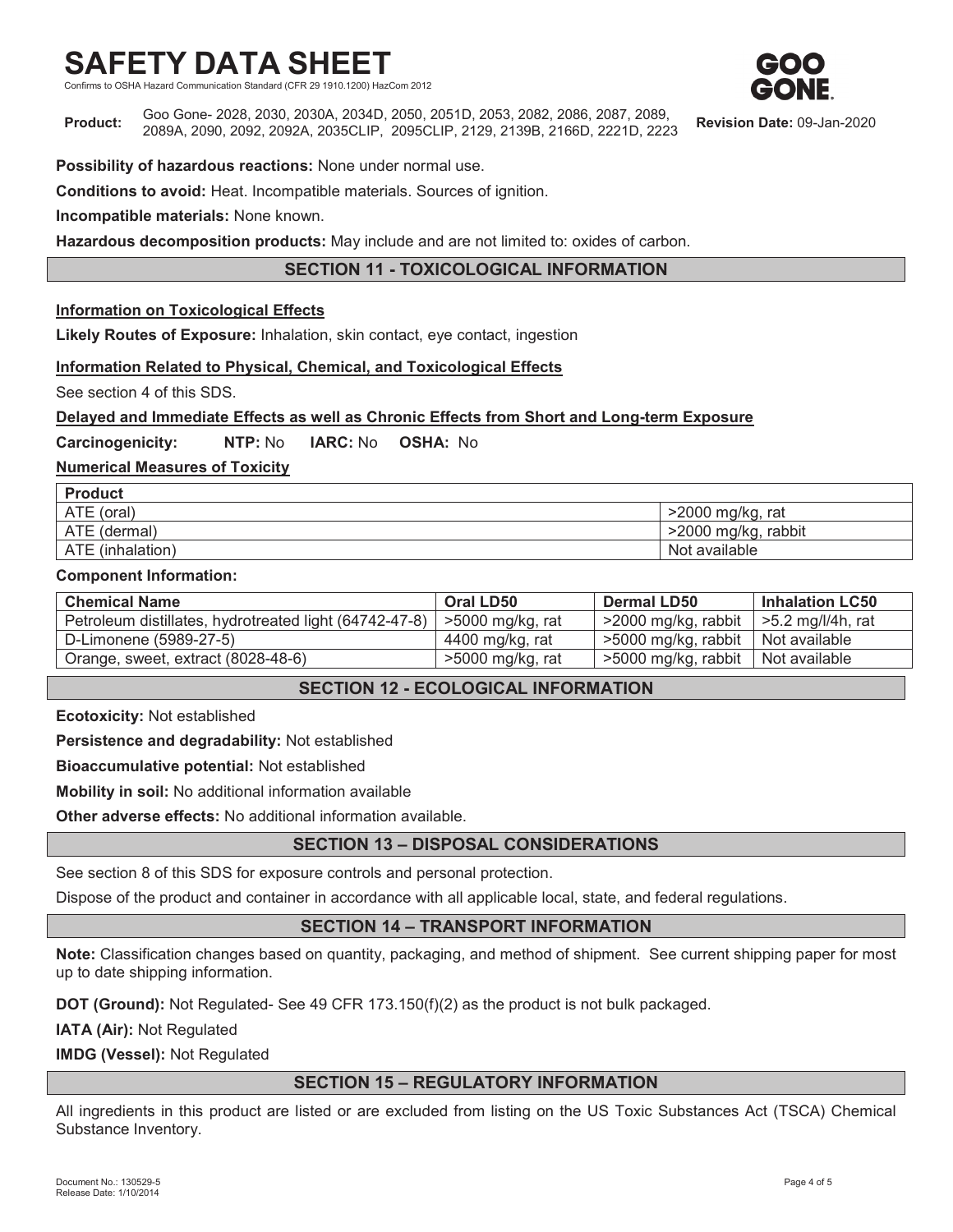Standard (CFR 29 1910.1200) HazCom 2012

**Product:** Goo Gone- 2028, 2030, 2030A, 2034D, 2050, 2051D, 2053, 2082, 2086, 2087, 2089, 2089A, 2090, 2092, 2092A, 2035CLIP, 2095CLIP, 2129, 2139B, 2166D, 2221D, 2223 **Revision Date:** 09-Jan-2020

**Possibility of hazardous reactions:** None under normal use.

**Conditions to avoid:** Heat. Incompatible materials. Sources of ignition.

**Incompatible materials:** None known.

**Hazardous decomposition products:** May include and are not limited to: oxides of carbon.

## **SECTION 11 - TOXICOLOGICAL INFORMATION**

## **Information on Toxicological Effects**

**Likely Routes of Exposure:** Inhalation, skin contact, eye contact, ingestion

## **Information Related to Physical, Chemical, and Toxicological Effects**

See section 4 of this SDS.

## **Delayed and Immediate Effects as well as Chronic Effects from Short and Long-term Exposure**

**Carcinogenicity: NTP:** No **IARC:** No **OSHA:** No

## **Numerical Measures of Toxicity**

| <b>Product</b>   |                     |
|------------------|---------------------|
| ATE (oral)       | $>2000$ mg/kg, rat  |
| ATE (dermal)     | >2000 mg/kg, rabbit |
| ATE (inhalation) | Not available       |

#### **Component Information:**

| <b>Chemical Name</b>                                   | Oral LD50        | <b>Dermal LD50</b>                 | Inhalation LC50        |
|--------------------------------------------------------|------------------|------------------------------------|------------------------|
| Petroleum distillates, hydrotreated light (64742-47-8) | >5000 mg/kg, rat | $>$ 2000 mg/kg, rabbit             | $\ge$ 5.2 mg/l/4h, rat |
| D-Limonene (5989-27-5)                                 | 4400 mg/kg, rat  | 5000 mg/kg, rabbit   Not available |                        |
| Orange, sweet, extract (8028-48-6)                     | >5000 mg/kg, rat | $>5000$ mg/kg, rabbit              | Not available          |

## **SECTION 12 - ECOLOGICAL INFORMATION**

**Ecotoxicity:** Not established

**Persistence and degradability:** Not established

**Bioaccumulative potential:** Not established

**Mobility in soil:** No additional information available

**Other adverse effects:** No additional information available.

## **SECTION 13 – DISPOSAL CONSIDERATIONS**

See section 8 of this SDS for exposure controls and personal protection.

Dispose of the product and container in accordance with all applicable local, state, and federal regulations.

## **SECTION 14 – TRANSPORT INFORMATION**

**Note:** Classification changes based on quantity, packaging, and method of shipment. See current shipping paper for most up to date shipping information.

**DOT (Ground):** Not Regulated- See 49 CFR 173.150(f)(2) as the product is not bulk packaged.

**IATA (Air):** Not Regulated

**IMDG (Vessel):** Not Regulated

## **SECTION 15 – REGULATORY INFORMATION**

All ingredients in this product are listed or are excluded from listing on the US Toxic Substances Act (TSCA) Chemical Substance Inventory.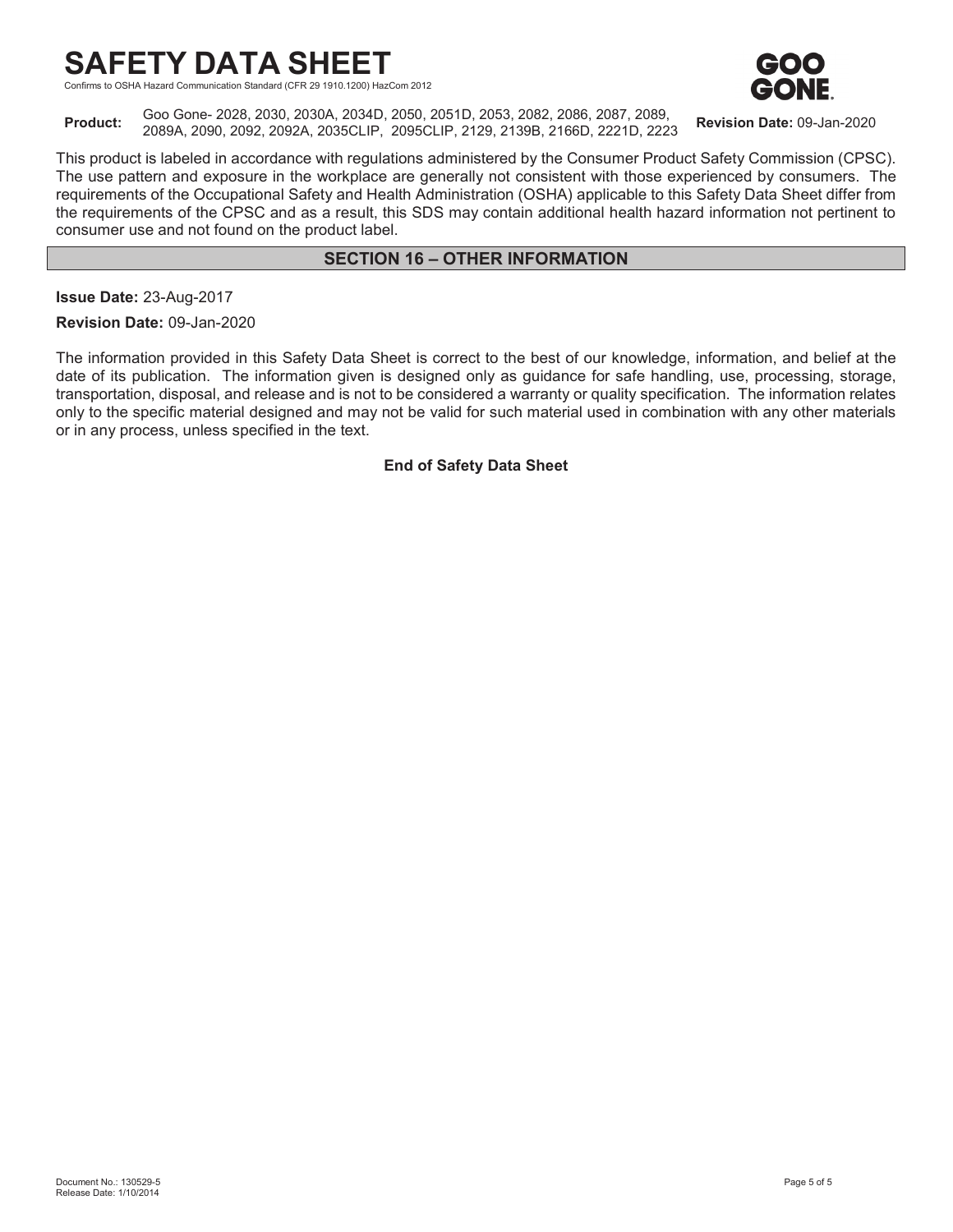consumer use and not found on the product label.

Hazard Communication Standard (CFR 29 1910.1200) HazCom 2012



**Product:** Goo Gone- 2028, 2030, 2030A, 2034D, 2050, 2051D, 2053, 2082, 2086, 2087, 2089, 2089A, 2090, 2092, 2092A, 2035CLIP, 2095CLIP, 2129, 2139B, 2166D, 2221D, 2223 **Revision Date:** 09-Jan-2020

This product is labeled in accordance with regulations administered by the Consumer Product Safety Commission (CPSC). The use pattern and exposure in the workplace are generally not consistent with those experienced by consumers. The requirements of the Occupational Safety and Health Administration (OSHA) applicable to this Safety Data Sheet differ from the requirements of the CPSC and as a result, this SDS may contain additional health hazard information not pertinent to

## **SECTION 16 – OTHER INFORMATION**

**Issue Date:** 23-Aug-2017

**Revision Date:** 09-Jan-2020

The information provided in this Safety Data Sheet is correct to the best of our knowledge, information, and belief at the date of its publication. The information given is designed only as guidance for safe handling, use, processing, storage, transportation, disposal, and release and is not to be considered a warranty or quality specification. The information relates only to the specific material designed and may not be valid for such material used in combination with any other materials or in any process, unless specified in the text.

**End of Safety Data Sheet**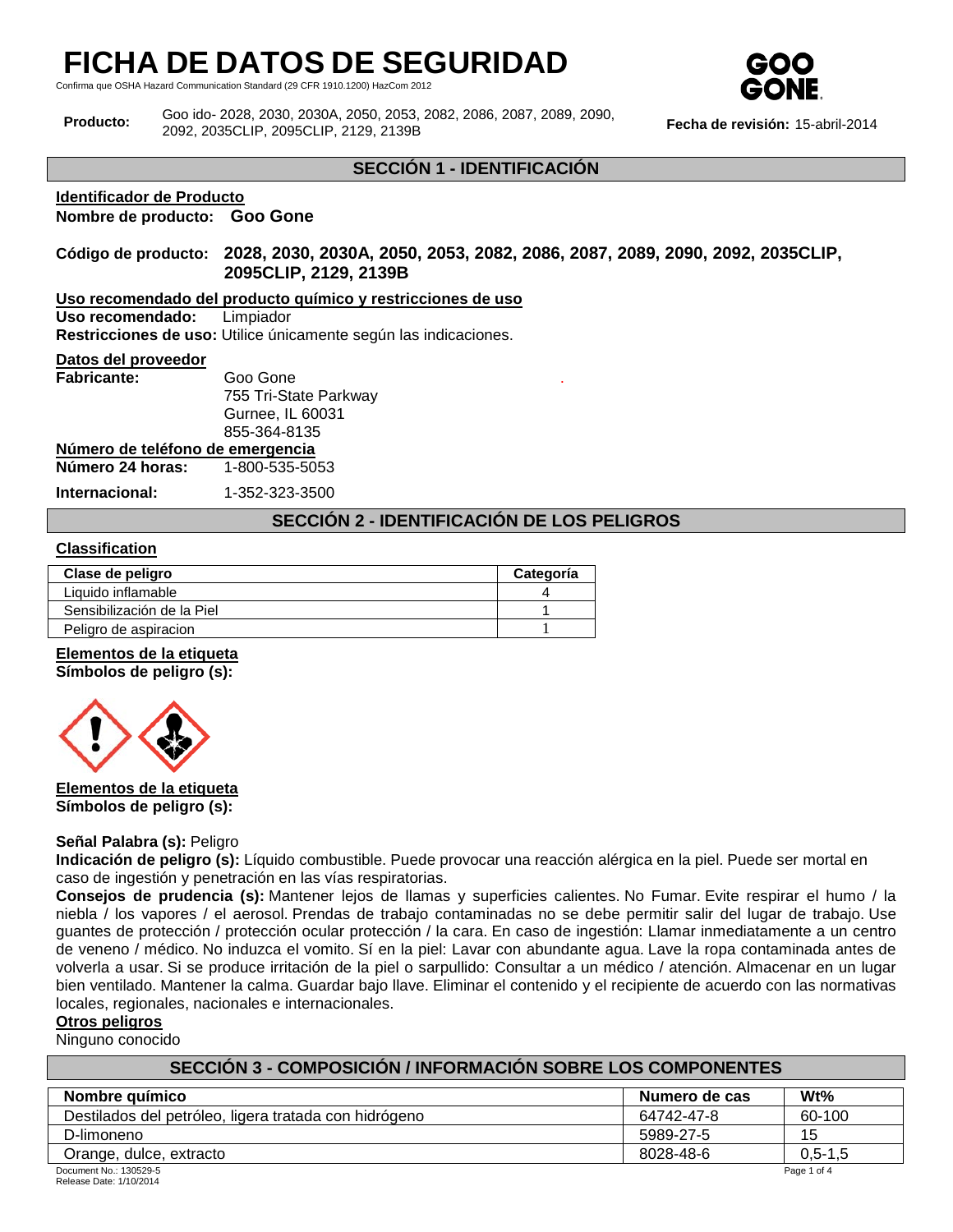Confirma que OSHA Hazard Communication Standard (29 CFR 1910.1200) HazCom 2012



**Producto:** Goo ido- 2028, 2030, 2030A, 2050, 2053, 2082, 2086, 2087, 2089, 2090, 2092, 2035CLIP, 2095CLIP, 2129, 2139B **Fecha de revisión:** 15-abril-2014

## **SECCIÓN 1 - IDENTIFICACIÓN**

#### **Identificador de Producto**

**Nombre de producto: Goo Gone**

## **Código de producto: 2028, 2030, 2030A, 2050, 2053, 2082, 2086, 2087, 2089, 2090, 2092, 2035CLIP, 2095CLIP, 2129, 2139B**

**Uso recomendado del producto químico y restricciones de uso**

Uso recomendado:

**Restricciones de uso:** Utilice únicamente según las indicaciones.

#### **Datos del proveedor**

| <b>Fabricante:</b> | Goo Gone              |
|--------------------|-----------------------|
|                    | 755 Tri-State Parkway |
|                    | Gurnee, IL 60031      |
|                    | 855-364-8135          |
|                    |                       |

**Número de teléfono de emergencia**

**Número 24 horas:** 1-800-535-5053

**Internacional:** 1-352-323-3500

## **SECCIÓN 2 - IDENTIFICACIÓN DE LOS PELIGROS**

.

## **Classification**

| Clase de peligro           | Categoría |
|----------------------------|-----------|
| Liquido inflamable         |           |
| Sensibilización de la Piel |           |
| Peligro de aspiracion      |           |

## **Elementos de la etiqueta**

**Símbolos de peligro (s):**



**Elementos de la etiqueta Símbolos de peligro (s):**

#### **Señal Palabra (s):** Peligro

**Indicación de peligro (s):** Líquido combustible. Puede provocar una reacción alérgica en la piel. Puede ser mortal en caso de ingestión y penetración en las vías respiratorias.

**Consejos de prudencia (s):** Mantener lejos de llamas y superficies calientes. No Fumar. Evite respirar el humo / la niebla / los vapores / el aerosol. Prendas de trabajo contaminadas no se debe permitir salir del lugar de trabajo. Use guantes de protección / protección ocular protección / la cara. En caso de ingestión: Llamar inmediatamente a un centro de veneno / médico. No induzca el vomito. Sí en la piel: Lavar con abundante agua. Lave la ropa contaminada antes de volverla a usar. Si se produce irritación de la piel o sarpullido: Consultar a un médico / atención. Almacenar en un lugar bien ventilado. Mantener la calma. Guardar bajo llave. Eliminar el contenido y el recipiente de acuerdo con las normativas locales, regionales, nacionales e internacionales.

#### **Otros peligros**

Ninguno conocido

| SECCIÓN 3 - COMPOSICIÓN / INFORMACIÓN SOBRE LOS COMPONENTES |            |             |  |  |
|-------------------------------------------------------------|------------|-------------|--|--|
| $Wt\%$<br>Nombre químico<br>Numero de cas                   |            |             |  |  |
| Destilados del petróleo, ligera tratada con hidrógeno       | 64742-47-8 | 60-100      |  |  |
| D-limoneno                                                  | 5989-27-5  | 15          |  |  |
| Orange, dulce, extracto                                     | 8028-48-6  | $0.5 - 1.5$ |  |  |
| Document No.: 130529-5                                      |            | Page 1 of 4 |  |  |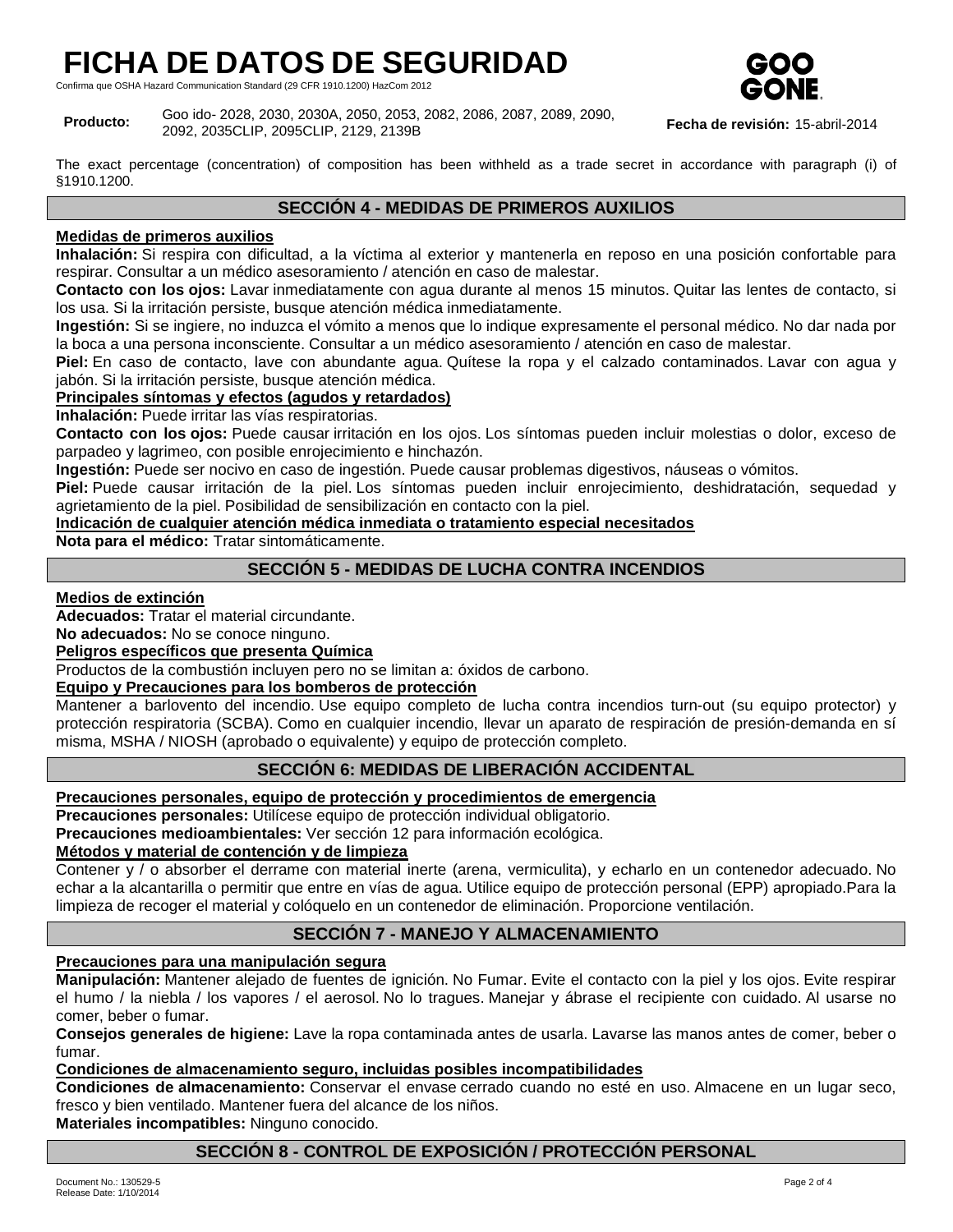Confirma que OSHA Hazard Communication Standard (29 CFR 1910.1200) HazCom 2012



**Producto:** Goo ido- 2028, 2030, 2030A, 2050, 2053, 2082, 2086, 2087, 2089, 2090, 2092, 2035CLIP, 2095CLIP, 2129, 2139B **Fecha de revisión:** 15-abril-2014

The exact percentage (concentration) of composition has been withheld as a trade secret in accordance with paragraph (i) of §1910.1200.

## **SECCIÓN 4 - MEDIDAS DE PRIMEROS AUXILIOS**

## **Medidas de primeros auxilios**

**Inhalación:** Si respira con dificultad, a la víctima al exterior y mantenerla en reposo en una posición confortable para respirar. Consultar a un médico asesoramiento / atención en caso de malestar.

**Contacto con los ojos:** Lavar inmediatamente con agua durante al menos 15 minutos. Quitar las lentes de contacto, si los usa. Si la irritación persiste, busque atención médica inmediatamente.

**Ingestión:** Si se ingiere, no induzca el vómito a menos que lo indique expresamente el personal médico. No dar nada por la boca a una persona inconsciente. Consultar a un médico asesoramiento / atención en caso de malestar.

**Piel:** En caso de contacto, lave con abundante agua. Quítese la ropa y el calzado contaminados. Lavar con agua y jabón. Si la irritación persiste, busque atención médica.

## **Principales síntomas y efectos (agudos y retardados)**

**Inhalación:** Puede irritar las vías respiratorias.

**Contacto con los ojos:** Puede causar irritación en los ojos. Los síntomas pueden incluir molestias o dolor, exceso de parpadeo y lagrimeo, con posible enrojecimiento e hinchazón.

**Ingestión:** Puede ser nocivo en caso de ingestión. Puede causar problemas digestivos, náuseas o vómitos.

**Piel:** Puede causar irritación de la piel. Los síntomas pueden incluir enrojecimiento, deshidratación, sequedad y agrietamiento de la piel. Posibilidad de sensibilización en contacto con la piel.

#### **Indicación de cualquier atención médica inmediata o tratamiento especial necesitados**

**Nota para el médico:** Tratar sintomáticamente.

## **SECCIÓN 5 - MEDIDAS DE LUCHA CONTRA INCENDIOS**

## **Medios de extinción**

**Adecuados:** Tratar el material circundante.

**No adecuados:** No se conoce ninguno.

## **Peligros específicos que presenta Química**

Productos de la combustión incluyen pero no se limitan a: óxidos de carbono.

## **Equipo y Precauciones para los bomberos de protección**

Mantener a barlovento del incendio. Use equipo completo de lucha contra incendios turn-out (su equipo protector) y protección respiratoria (SCBA). Como en cualquier incendio, llevar un aparato de respiración de presión-demanda en sí misma, MSHA / NIOSH (aprobado o equivalente) y equipo de protección completo.

## **SECCIÓN 6: MEDIDAS DE LIBERACIÓN ACCIDENTAL**

## **Precauciones personales, equipo de protección y procedimientos de emergencia**

**Precauciones personales:** Utilícese equipo de protección individual obligatorio.

**Precauciones medioambientales:** Ver sección 12 para información ecológica.

## **Métodos y material de contención y de limpieza**

Contener y / o absorber el derrame con material inerte (arena, vermiculita), y echarlo en un contenedor adecuado. No echar a la alcantarilla o permitir que entre en vías de agua. Utilice equipo de protección personal (EPP) apropiado.Para la limpieza de recoger el material y colóquelo en un contenedor de eliminación. Proporcione ventilación.

## **SECCIÓN 7 - MANEJO Y ALMACENAMIENTO**

## **Precauciones para una manipulación segura**

**Manipulación:** Mantener alejado de fuentes de ignición. No Fumar. Evite el contacto con la piel y los ojos. Evite respirar el humo / la niebla / los vapores / el aerosol. No lo tragues. Manejar y ábrase el recipiente con cuidado. Al usarse no comer, beber o fumar.

**Consejos generales de higiene:** Lave la ropa contaminada antes de usarla. Lavarse las manos antes de comer, beber o fumar.

## **Condiciones de almacenamiento seguro, incluidas posibles incompatibilidades**

**Condiciones de almacenamiento:** Conservar el envase cerrado cuando no esté en uso. Almacene en un lugar seco, fresco y bien ventilado. Mantener fuera del alcance de los niños.

**Materiales incompatibles:** Ninguno conocido.

## **SECCIÓN 8 - CONTROL DE EXPOSICIÓN / PROTECCIÓN PERSONAL**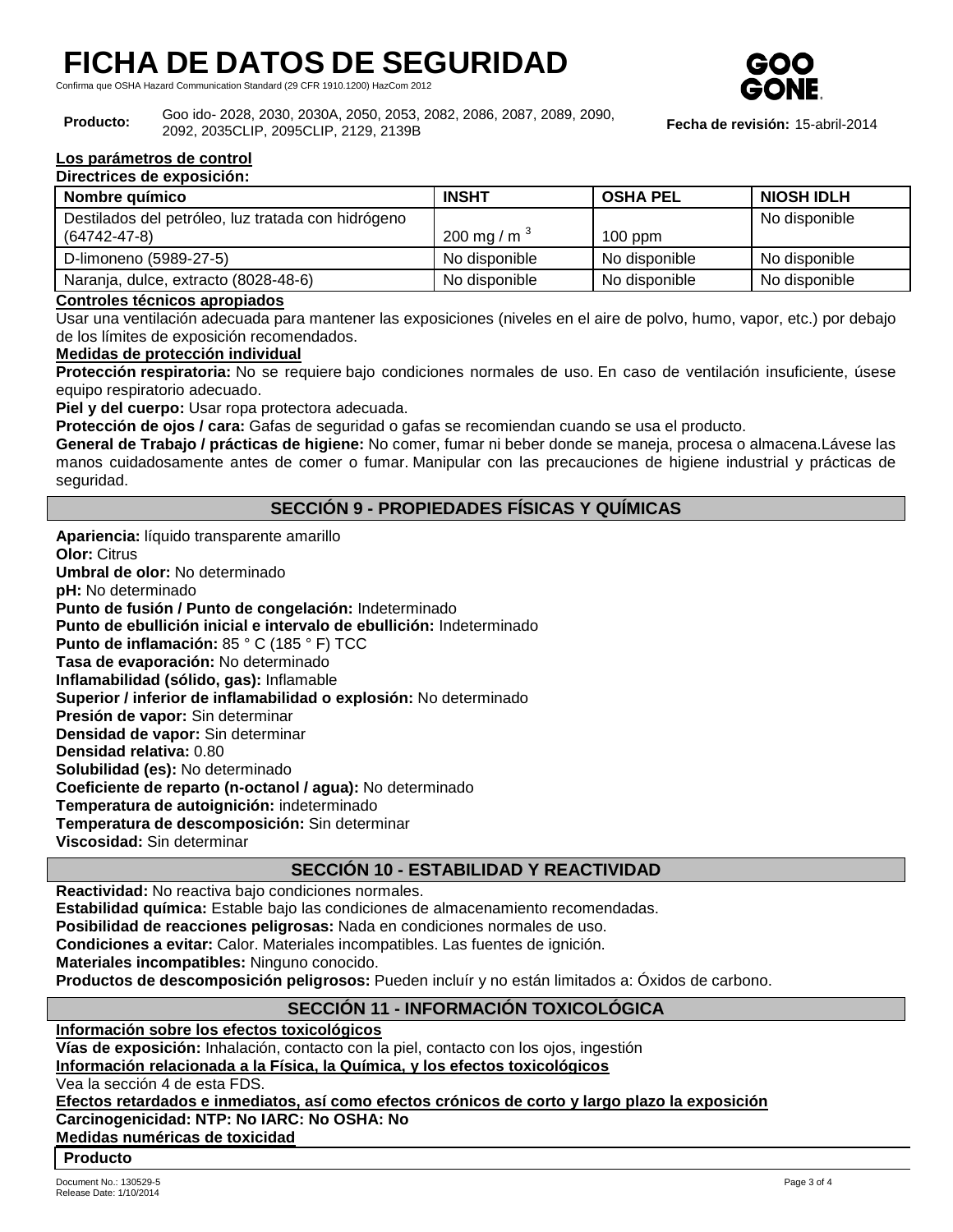Confirma que OSHA Hazard Communication Standard (29 CFR 1910.1200) HazCom 2012



#### **Producto:** Goo ido- 2028, 2030, 2030A, 2050, 2053, 2082, 2086, 2087, 2089, 2090, 2092, 2035CLIP, 2095CLIP, 2129, 2139B **Fecha de revisión:** 15-abril-2014

#### **Los parámetros de control Directrices de exposición:**

| <b>Pricedultes de exposition.</b>                  |                   |                 |                   |
|----------------------------------------------------|-------------------|-----------------|-------------------|
| Nombre químico                                     | <b>INSHT</b>      | <b>OSHA PEL</b> | <b>NIOSH IDLH</b> |
| Destilados del petróleo, luz tratada con hidrógeno |                   |                 | No disponible     |
| $(64742 - 47 - 8)$                                 | 200 mg / m $^{3}$ | $100$ ppm       |                   |
| D-limoneno (5989-27-5)                             | No disponible     | No disponible   | No disponible     |
| Naranja, dulce, extracto (8028-48-6)               | No disponible     | No disponible   | No disponible     |

## **Controles técnicos apropiados**

Usar una ventilación adecuada para mantener las exposiciones (niveles en el aire de polvo, humo, vapor, etc.) por debajo de los límites de exposición recomendados.

## **Medidas de protección individual**

**Protección respiratoria:** No se requiere bajo condiciones normales de uso. En caso de ventilación insuficiente, úsese equipo respiratorio adecuado.

**Piel y del cuerpo:** Usar ropa protectora adecuada.

**Protección de ojos / cara:** Gafas de seguridad o gafas se recomiendan cuando se usa el producto.

**General de Trabajo / prácticas de higiene:** No comer, fumar ni beber donde se maneja, procesa o almacena.Lávese las manos cuidadosamente antes de comer o fumar. Manipular con las precauciones de higiene industrial y prácticas de seguridad.

## **SECCIÓN 9 - PROPIEDADES FÍSICAS Y QUÍMICAS**

**Apariencia:** líquido transparente amarillo **Olor:** Citrus **Umbral de olor:** No determinado **pH:** No determinado

**Punto de fusión / Punto de congelación:** Indeterminado

**Punto de ebullición inicial e intervalo de ebullición:** Indeterminado

**Punto de inflamación:** 85 ° C (185 ° F) TCC

**Tasa de evaporación:** No determinado **Inflamabilidad (sólido, gas):** Inflamable

**Superior / inferior de inflamabilidad o explosión:** No determinado

**Presión de vapor:** Sin determinar

**Densidad de vapor:** Sin determinar

**Densidad relativa:** 0.80

**Solubilidad (es):** No determinado

**Coeficiente de reparto (n-octanol / agua):** No determinado

**Temperatura de autoignición:** indeterminado

**Temperatura de descomposición:** Sin determinar

**Viscosidad:** Sin determinar

## **SECCIÓN 10 - ESTABILIDAD Y REACTIVIDAD**

**Reactividad:** No reactiva bajo condiciones normales.

**Estabilidad química:** Estable bajo las condiciones de almacenamiento recomendadas.

**Posibilidad de reacciones peligrosas:** Nada en condiciones normales de uso.

**Condiciones a evitar:** Calor. Materiales incompatibles. Las fuentes de ignición.

**Materiales incompatibles:** Ninguno conocido.

**Productos de descomposición peligrosos:** Pueden incluír y no están limitados a: Óxidos de carbono.

## **SECCIÓN 11 - INFORMACIÓN TOXICOLÓGICA**

**Información sobre los efectos toxicológicos Vías de exposición:** Inhalación, contacto con la piel, contacto con los ojos, ingestión **Información relacionada a la Física, la Química, y los efectos toxicológicos** Vea la sección 4 de esta FDS. **Efectos retardados e inmediatos, así como efectos crónicos de corto y largo plazo la exposición Carcinogenicidad: NTP: No IARC: No OSHA: No Medidas numéricas de toxicidad**

#### **Producto**